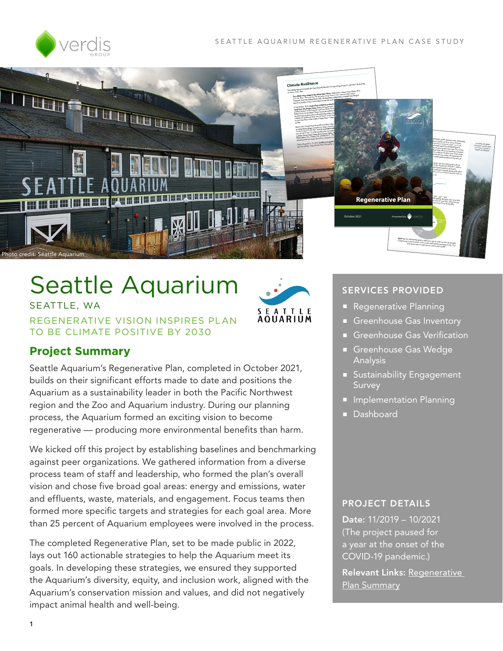



# Seattle Aquarium

SEATTLE, WA REGENERATIVE VISION INSPIRES PLAN TO BE CLIMATE POSITIVE BY 2030



# **Project Summary**

Seattle Aquarium's Regenerative Plan, completed in October 2021, builds on their significant efforts made to date and positions the Aquarium as a sustainability leader in both the Pacific Northwest region and the Zoo and Aquarium industry. During our planning process, the Aquarium formed an exciting vision to become regenerative — producing more environmental benefits than harm.

We kicked off this project by establishing baselines and benchmarking against peer organizations. We gathered information from a diverse process team of staff and leadership, who formed the plan's overall vision and chose five broad goal areas: energy and emissions, water and effluents, waste, materials, and engagement. Focus teams then formed more specific targets and strategies for each goal area. More than 25 percent of Aquarium employees were involved in the process.

The completed Regenerative Plan, set to be made public in 2022, lays out 160 actionable strategies to help the Aquarium meet its goals. In developing these strategies, we ensured they supported the Aquarium's diversity, equity, and inclusion work, aligned with the Aquarium's conservation mission and values, and did not negatively impact animal health and well-being.

#### SERVICES PROVIDED

- **Regenerative Planning**
- Greenhouse Gas Inventory
- Greenhouse Gas Verification
- Greenhouse Gas Wedge Analysis
- **Sustainability Engagement Survey**
- **Implementation Planning**
- **Dashboard**

#### PROJECT DETAILS

Date: 11/2019 – 10/2021 (The project paused for a year at the onset of the COVID-19 pandemic.)

Relevant Links: [Regenerative](https://www.seattleaquarium.org/sites/default/files/files/Seattle%20Aquarium%20Sustainability%20Master%20Plan.pdf)  [Plan Summary](https://www.seattleaquarium.org/sites/default/files/files/Seattle%20Aquarium%20Sustainability%20Master%20Plan.pdf)